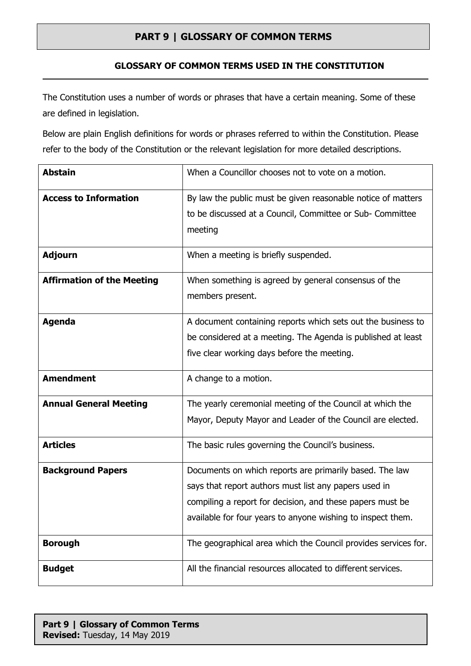#### **GLOSSARY OF COMMON TERMS USED IN THE CONSTITUTION**

The Constitution uses a number of words or phrases that have a certain meaning. Some of these are defined in legislation.

Below are plain English definitions for words or phrases referred to within the Constitution. Please refer to the body of the Constitution or the relevant legislation for more detailed descriptions.

| <b>Abstain</b>                    | When a Councillor chooses not to vote on a motion.                                                                                                                                                                                           |
|-----------------------------------|----------------------------------------------------------------------------------------------------------------------------------------------------------------------------------------------------------------------------------------------|
| <b>Access to Information</b>      | By law the public must be given reasonable notice of matters<br>to be discussed at a Council, Committee or Sub- Committee<br>meeting                                                                                                         |
| <b>Adjourn</b>                    | When a meeting is briefly suspended.                                                                                                                                                                                                         |
| <b>Affirmation of the Meeting</b> | When something is agreed by general consensus of the<br>members present.                                                                                                                                                                     |
| <b>Agenda</b>                     | A document containing reports which sets out the business to<br>be considered at a meeting. The Agenda is published at least<br>five clear working days before the meeting.                                                                  |
| <b>Amendment</b>                  | A change to a motion.                                                                                                                                                                                                                        |
| <b>Annual General Meeting</b>     | The yearly ceremonial meeting of the Council at which the<br>Mayor, Deputy Mayor and Leader of the Council are elected.                                                                                                                      |
| <b>Articles</b>                   | The basic rules governing the Council's business.                                                                                                                                                                                            |
| <b>Background Papers</b>          | Documents on which reports are primarily based. The law<br>says that report authors must list any papers used in<br>compiling a report for decision, and these papers must be<br>available for four years to anyone wishing to inspect them. |
| <b>Borough</b>                    | The geographical area which the Council provides services for.                                                                                                                                                                               |
| <b>Budget</b>                     | All the financial resources allocated to different services.                                                                                                                                                                                 |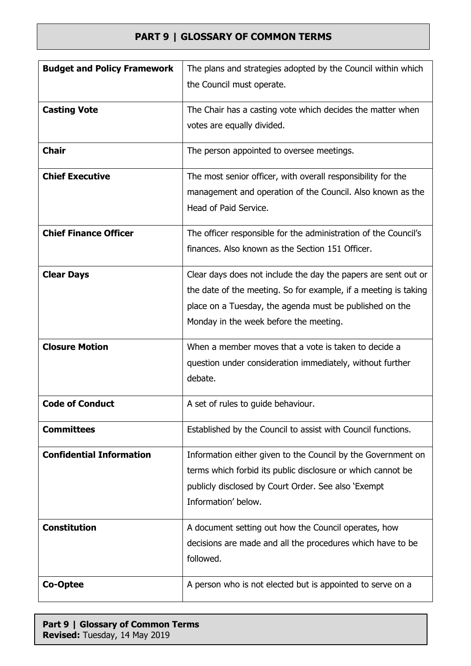| <b>Budget and Policy Framework</b> | The plans and strategies adopted by the Council within which<br>the Council must operate.                                                                                                                                              |
|------------------------------------|----------------------------------------------------------------------------------------------------------------------------------------------------------------------------------------------------------------------------------------|
| <b>Casting Vote</b>                | The Chair has a casting vote which decides the matter when<br>votes are equally divided.                                                                                                                                               |
| <b>Chair</b>                       | The person appointed to oversee meetings.                                                                                                                                                                                              |
| <b>Chief Executive</b>             | The most senior officer, with overall responsibility for the<br>management and operation of the Council. Also known as the<br>Head of Paid Service.                                                                                    |
| <b>Chief Finance Officer</b>       | The officer responsible for the administration of the Council's<br>finances. Also known as the Section 151 Officer.                                                                                                                    |
| <b>Clear Days</b>                  | Clear days does not include the day the papers are sent out or<br>the date of the meeting. So for example, if a meeting is taking<br>place on a Tuesday, the agenda must be published on the<br>Monday in the week before the meeting. |
| <b>Closure Motion</b>              | When a member moves that a vote is taken to decide a<br>question under consideration immediately, without further<br>debate.                                                                                                           |
| <b>Code of Conduct</b>             | A set of rules to guide behaviour.                                                                                                                                                                                                     |
| <b>Committees</b>                  | Established by the Council to assist with Council functions.                                                                                                                                                                           |
| <b>Confidential Information</b>    | Information either given to the Council by the Government on<br>terms which forbid its public disclosure or which cannot be<br>publicly disclosed by Court Order. See also 'Exempt<br>Information' below.                              |
| <b>Constitution</b>                | A document setting out how the Council operates, how<br>decisions are made and all the procedures which have to be<br>followed.                                                                                                        |
| Co-Optee                           | A person who is not elected but is appointed to serve on a                                                                                                                                                                             |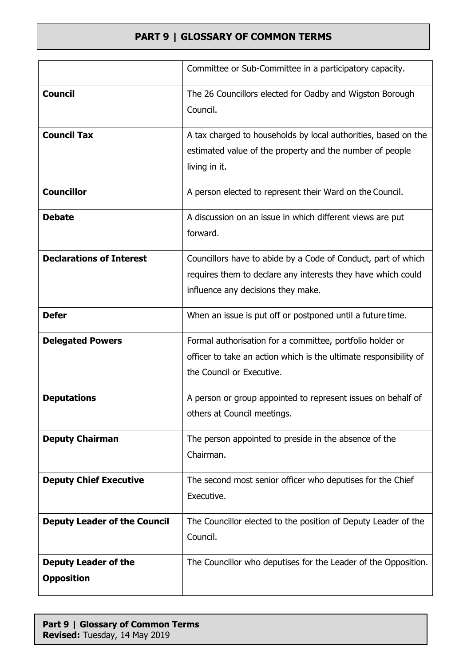|                                                  | Committee or Sub-Committee in a participatory capacity.                                                                                                             |
|--------------------------------------------------|---------------------------------------------------------------------------------------------------------------------------------------------------------------------|
| <b>Council</b>                                   | The 26 Councillors elected for Oadby and Wigston Borough<br>Council.                                                                                                |
| <b>Council Tax</b>                               | A tax charged to households by local authorities, based on the<br>estimated value of the property and the number of people<br>living in it.                         |
| <b>Councillor</b>                                | A person elected to represent their Ward on the Council.                                                                                                            |
| <b>Debate</b>                                    | A discussion on an issue in which different views are put<br>forward.                                                                                               |
| <b>Declarations of Interest</b>                  | Councillors have to abide by a Code of Conduct, part of which<br>requires them to declare any interests they have which could<br>influence any decisions they make. |
| <b>Defer</b>                                     | When an issue is put off or postponed until a future time.                                                                                                          |
| <b>Delegated Powers</b>                          | Formal authorisation for a committee, portfolio holder or<br>officer to take an action which is the ultimate responsibility of<br>the Council or Executive.         |
| <b>Deputations</b>                               | A person or group appointed to represent issues on behalf of<br>others at Council meetings.                                                                         |
| <b>Deputy Chairman</b>                           | The person appointed to preside in the absence of the<br>Chairman.                                                                                                  |
| <b>Deputy Chief Executive</b>                    | The second most senior officer who deputises for the Chief<br>Executive.                                                                                            |
| <b>Deputy Leader of the Council</b>              | The Councillor elected to the position of Deputy Leader of the<br>Council.                                                                                          |
| <b>Deputy Leader of the</b><br><b>Opposition</b> | The Councillor who deputises for the Leader of the Opposition.                                                                                                      |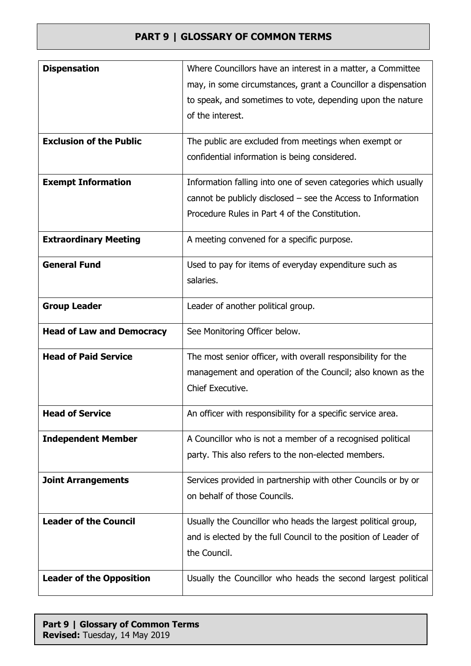| <b>Dispensation</b>              | Where Councillors have an interest in a matter, a Committee     |
|----------------------------------|-----------------------------------------------------------------|
|                                  | may, in some circumstances, grant a Councillor a dispensation   |
|                                  | to speak, and sometimes to vote, depending upon the nature      |
|                                  | of the interest.                                                |
|                                  |                                                                 |
| <b>Exclusion of the Public</b>   | The public are excluded from meetings when exempt or            |
|                                  | confidential information is being considered.                   |
| <b>Exempt Information</b>        | Information falling into one of seven categories which usually  |
|                                  | cannot be publicly disclosed $-$ see the Access to Information  |
|                                  | Procedure Rules in Part 4 of the Constitution.                  |
| <b>Extraordinary Meeting</b>     | A meeting convened for a specific purpose.                      |
| <b>General Fund</b>              | Used to pay for items of everyday expenditure such as           |
|                                  | salaries.                                                       |
|                                  |                                                                 |
| <b>Group Leader</b>              | Leader of another political group.                              |
| <b>Head of Law and Democracy</b> | See Monitoring Officer below.                                   |
|                                  |                                                                 |
|                                  |                                                                 |
| <b>Head of Paid Service</b>      | The most senior officer, with overall responsibility for the    |
|                                  | management and operation of the Council; also known as the      |
|                                  | Chief Executive.                                                |
| <b>Head of Service</b>           | An officer with responsibility for a specific service area.     |
|                                  |                                                                 |
| <b>Independent Member</b>        | A Councillor who is not a member of a recognised political      |
|                                  | party. This also refers to the non-elected members.             |
| <b>Joint Arrangements</b>        | Services provided in partnership with other Councils or by or   |
|                                  | on behalf of those Councils.                                    |
|                                  |                                                                 |
| <b>Leader of the Council</b>     | Usually the Councillor who heads the largest political group,   |
|                                  | and is elected by the full Council to the position of Leader of |
|                                  | the Council.                                                    |
| <b>Leader of the Opposition</b>  | Usually the Councillor who heads the second largest political   |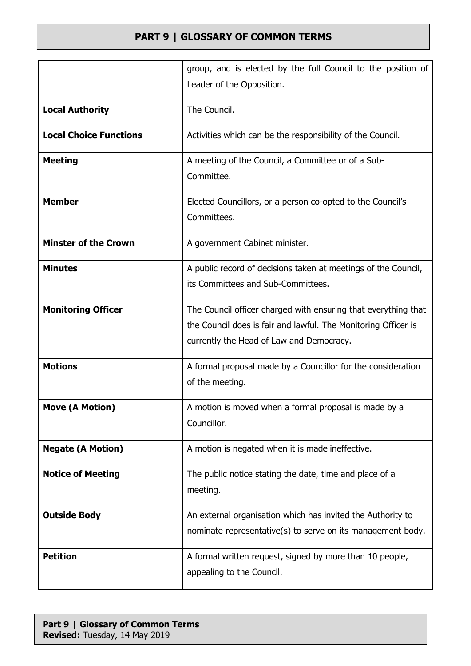|                               | group, and is elected by the full Council to the position of                                                                                                                 |
|-------------------------------|------------------------------------------------------------------------------------------------------------------------------------------------------------------------------|
|                               | Leader of the Opposition.                                                                                                                                                    |
| <b>Local Authority</b>        | The Council.                                                                                                                                                                 |
| <b>Local Choice Functions</b> | Activities which can be the responsibility of the Council.                                                                                                                   |
| <b>Meeting</b>                | A meeting of the Council, a Committee or of a Sub-<br>Committee.                                                                                                             |
| <b>Member</b>                 | Elected Councillors, or a person co-opted to the Council's<br>Committees.                                                                                                    |
| <b>Minster of the Crown</b>   | A government Cabinet minister.                                                                                                                                               |
| <b>Minutes</b>                | A public record of decisions taken at meetings of the Council,<br>its Committees and Sub-Committees.                                                                         |
| <b>Monitoring Officer</b>     | The Council officer charged with ensuring that everything that<br>the Council does is fair and lawful. The Monitoring Officer is<br>currently the Head of Law and Democracy. |
| <b>Motions</b>                | A formal proposal made by a Councillor for the consideration<br>of the meeting.                                                                                              |
| <b>Move (A Motion)</b>        | A motion is moved when a formal proposal is made by a<br>Councillor.                                                                                                         |
| <b>Negate (A Motion)</b>      | A motion is negated when it is made ineffective.                                                                                                                             |
| <b>Notice of Meeting</b>      | The public notice stating the date, time and place of a<br>meeting.                                                                                                          |
| <b>Outside Body</b>           | An external organisation which has invited the Authority to<br>nominate representative(s) to serve on its management body.                                                   |
| <b>Petition</b>               | A formal written request, signed by more than 10 people,<br>appealing to the Council.                                                                                        |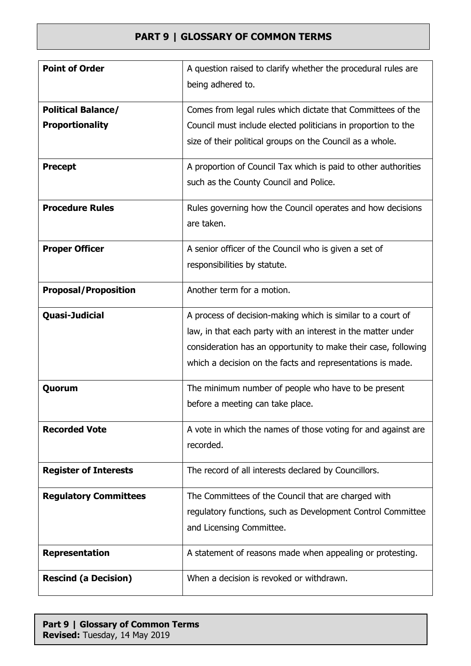| <b>Point of Order</b>                               | A question raised to clarify whether the procedural rules are<br>being adhered to.                                                                                                                                                                          |
|-----------------------------------------------------|-------------------------------------------------------------------------------------------------------------------------------------------------------------------------------------------------------------------------------------------------------------|
| <b>Political Balance/</b><br><b>Proportionality</b> | Comes from legal rules which dictate that Committees of the<br>Council must include elected politicians in proportion to the<br>size of their political groups on the Council as a whole.                                                                   |
| <b>Precept</b>                                      | A proportion of Council Tax which is paid to other authorities<br>such as the County Council and Police.                                                                                                                                                    |
| <b>Procedure Rules</b>                              | Rules governing how the Council operates and how decisions<br>are taken.                                                                                                                                                                                    |
| <b>Proper Officer</b>                               | A senior officer of the Council who is given a set of<br>responsibilities by statute.                                                                                                                                                                       |
| <b>Proposal/Proposition</b>                         | Another term for a motion.                                                                                                                                                                                                                                  |
| Quasi-Judicial                                      | A process of decision-making which is similar to a court of<br>law, in that each party with an interest in the matter under<br>consideration has an opportunity to make their case, following<br>which a decision on the facts and representations is made. |
| Quorum                                              | The minimum number of people who have to be present<br>before a meeting can take place.                                                                                                                                                                     |
| <b>Recorded Vote</b>                                | A vote in which the names of those voting for and against are<br>recorded.                                                                                                                                                                                  |
| <b>Register of Interests</b>                        | The record of all interests declared by Councillors.                                                                                                                                                                                                        |
| <b>Regulatory Committees</b>                        | The Committees of the Council that are charged with<br>regulatory functions, such as Development Control Committee<br>and Licensing Committee.                                                                                                              |
| <b>Representation</b>                               | A statement of reasons made when appealing or protesting.                                                                                                                                                                                                   |
| <b>Rescind (a Decision)</b>                         | When a decision is revoked or withdrawn.                                                                                                                                                                                                                    |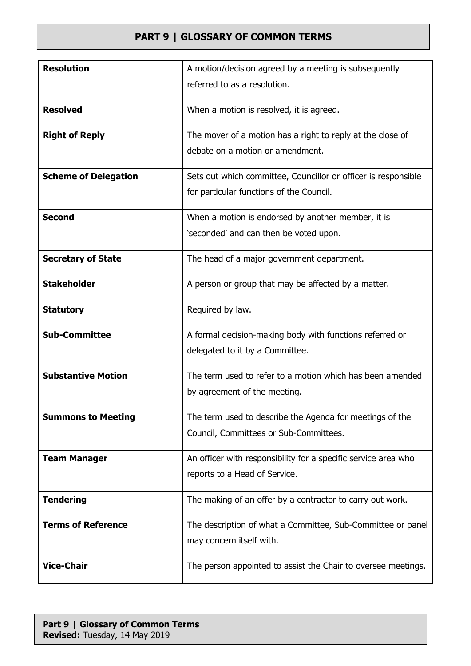| <b>Resolution</b>           | A motion/decision agreed by a meeting is subsequently          |
|-----------------------------|----------------------------------------------------------------|
|                             | referred to as a resolution.                                   |
| <b>Resolved</b>             |                                                                |
|                             | When a motion is resolved, it is agreed.                       |
| <b>Right of Reply</b>       | The mover of a motion has a right to reply at the close of     |
|                             | debate on a motion or amendment.                               |
| <b>Scheme of Delegation</b> | Sets out which committee, Councillor or officer is responsible |
|                             | for particular functions of the Council.                       |
| <b>Second</b>               | When a motion is endorsed by another member, it is             |
|                             | 'seconded' and can then be voted upon.                         |
| <b>Secretary of State</b>   | The head of a major government department.                     |
| <b>Stakeholder</b>          | A person or group that may be affected by a matter.            |
| <b>Statutory</b>            | Required by law.                                               |
| <b>Sub-Committee</b>        | A formal decision-making body with functions referred or       |
|                             | delegated to it by a Committee.                                |
| <b>Substantive Motion</b>   | The term used to refer to a motion which has been amended      |
|                             | by agreement of the meeting.                                   |
| <b>Summons to Meeting</b>   | The term used to describe the Agenda for meetings of the       |
|                             | Council, Committees or Sub-Committees.                         |
|                             |                                                                |
| <b>Team Manager</b>         | An officer with responsibility for a specific service area who |
|                             | reports to a Head of Service.                                  |
| <b>Tendering</b>            | The making of an offer by a contractor to carry out work.      |
| <b>Terms of Reference</b>   | The description of what a Committee, Sub-Committee or panel    |
|                             | may concern itself with.                                       |
| <b>Vice-Chair</b>           | The person appointed to assist the Chair to oversee meetings.  |